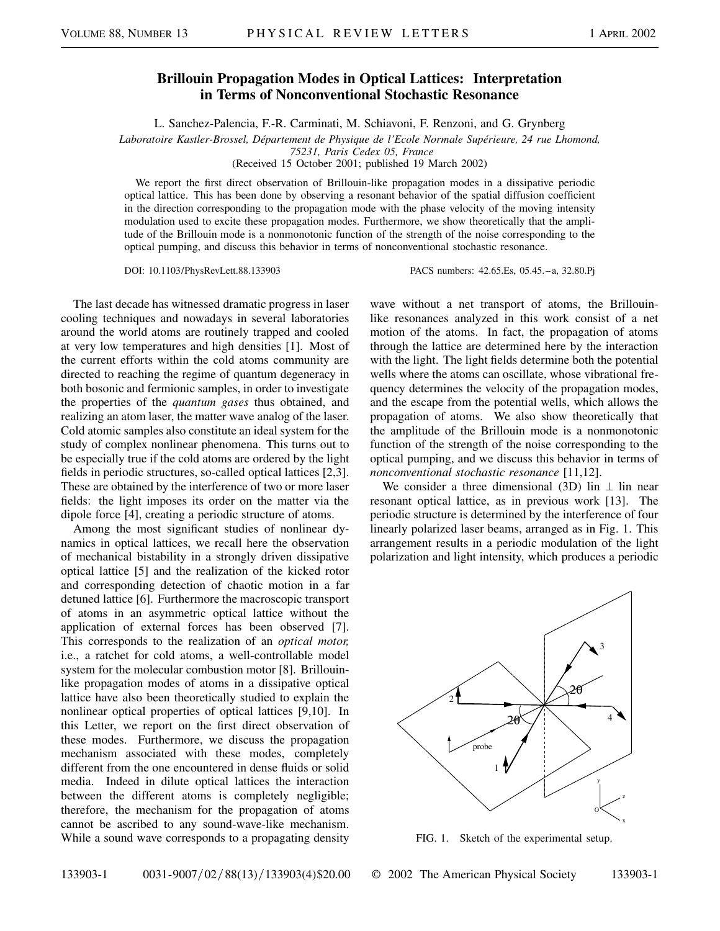## **Brillouin Propagation Modes in Optical Lattices: Interpretation in Terms of Nonconventional Stochastic Resonance**

L. Sanchez-Palencia, F.-R. Carminati, M. Schiavoni, F. Renzoni, and G. Grynberg

*Laboratoire Kastler-Brossel, Département de Physique de l'Ecole Normale Supérieure, 24 rue Lhomond,*

*75231, Paris Cedex 05, France*

(Received 15 October 2001; published 19 March 2002)

We report the first direct observation of Brillouin-like propagation modes in a dissipative periodic optical lattice. This has been done by observing a resonant behavior of the spatial diffusion coefficient in the direction corresponding to the propagation mode with the phase velocity of the moving intensity modulation used to excite these propagation modes. Furthermore, we show theoretically that the amplitude of the Brillouin mode is a nonmonotonic function of the strength of the noise corresponding to the optical pumping, and discuss this behavior in terms of nonconventional stochastic resonance.

DOI: 10.1103/PhysRevLett.88.133903 PACS numbers: 42.65.Es, 05.45.–a, 32.80.Pj

The last decade has witnessed dramatic progress in laser cooling techniques and nowadays in several laboratories around the world atoms are routinely trapped and cooled at very low temperatures and high densities [1]. Most of the current efforts within the cold atoms community are directed to reaching the regime of quantum degeneracy in both bosonic and fermionic samples, in order to investigate the properties of the *quantum gases* thus obtained, and realizing an atom laser, the matter wave analog of the laser. Cold atomic samples also constitute an ideal system for the study of complex nonlinear phenomena. This turns out to be especially true if the cold atoms are ordered by the light fields in periodic structures, so-called optical lattices [2,3]. These are obtained by the interference of two or more laser fields: the light imposes its order on the matter via the dipole force [4], creating a periodic structure of atoms.

Among the most significant studies of nonlinear dynamics in optical lattices, we recall here the observation of mechanical bistability in a strongly driven dissipative optical lattice [5] and the realization of the kicked rotor and corresponding detection of chaotic motion in a far detuned lattice [6]. Furthermore the macroscopic transport of atoms in an asymmetric optical lattice without the application of external forces has been observed [7]. This corresponds to the realization of an *optical motor,* i.e., a ratchet for cold atoms, a well-controllable model system for the molecular combustion motor [8]. Brillouinlike propagation modes of atoms in a dissipative optical lattice have also been theoretically studied to explain the nonlinear optical properties of optical lattices [9,10]. In this Letter, we report on the first direct observation of these modes. Furthermore, we discuss the propagation mechanism associated with these modes, completely different from the one encountered in dense fluids or solid media. Indeed in dilute optical lattices the interaction between the different atoms is completely negligible; therefore, the mechanism for the propagation of atoms cannot be ascribed to any sound-wave-like mechanism. While a sound wave corresponds to a propagating density

wave without a net transport of atoms, the Brillouinlike resonances analyzed in this work consist of a net motion of the atoms. In fact, the propagation of atoms through the lattice are determined here by the interaction with the light. The light fields determine both the potential wells where the atoms can oscillate, whose vibrational frequency determines the velocity of the propagation modes, and the escape from the potential wells, which allows the propagation of atoms. We also show theoretically that the amplitude of the Brillouin mode is a nonmonotonic function of the strength of the noise corresponding to the optical pumping, and we discuss this behavior in terms of *nonconventional stochastic resonance* [11,12].

We consider a three dimensional (3D) lin  $\perp$  lin near resonant optical lattice, as in previous work [13]. The periodic structure is determined by the interference of four linearly polarized laser beams, arranged as in Fig. 1. This arrangement results in a periodic modulation of the light polarization and light intensity, which produces a periodic



FIG. 1. Sketch of the experimental setup.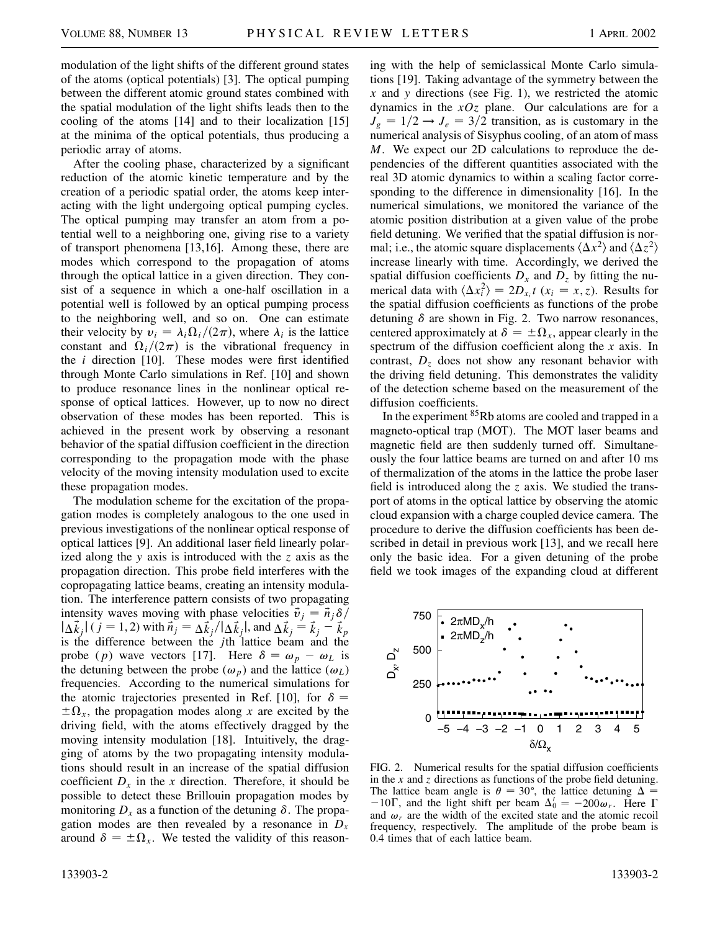modulation of the light shifts of the different ground states of the atoms (optical potentials) [3]. The optical pumping between the different atomic ground states combined with the spatial modulation of the light shifts leads then to the cooling of the atoms [14] and to their localization [15] at the minima of the optical potentials, thus producing a periodic array of atoms.

After the cooling phase, characterized by a significant reduction of the atomic kinetic temperature and by the creation of a periodic spatial order, the atoms keep interacting with the light undergoing optical pumping cycles. The optical pumping may transfer an atom from a potential well to a neighboring one, giving rise to a variety of transport phenomena [13,16]. Among these, there are modes which correspond to the propagation of atoms through the optical lattice in a given direction. They consist of a sequence in which a one-half oscillation in a potential well is followed by an optical pumping process to the neighboring well, and so on. One can estimate their velocity by  $v_i = \lambda_i \Omega_i / (2\pi)$ , where  $\lambda_i$  is the lattice constant and  $\Omega_i/(2\pi)$  is the vibrational frequency in the *i* direction [10]. These modes were first identified through Monte Carlo simulations in Ref. [10] and shown to produce resonance lines in the nonlinear optical response of optical lattices. However, up to now no direct observation of these modes has been reported. This is achieved in the present work by observing a resonant behavior of the spatial diffusion coefficient in the direction corresponding to the propagation mode with the phase velocity of the moving intensity modulation used to excite these propagation modes.

The modulation scheme for the excitation of the propagation modes is completely analogous to the one used in previous investigations of the nonlinear optical response of optical lattices [9]. An additional laser field linearly polarized along the *y* axis is introduced with the *z* axis as the propagation direction. This probe field interferes with the copropagating lattice beams, creating an intensity modulation. The interference pattern consists of two propagating intensity waves moving with phase velocities  $\vec{v}_j = \vec{n}_j \delta / j$  $|\Delta \vec{k}_j|$  ( *j* = 1, 2) with  $\vec{n}_j = \Delta \vec{k}_j / |\Delta \vec{k}_j|$ , and  $\Delta \vec{k}_j = \vec{k}_j - \vec{k}_p$ is the difference between the *j*th lattice beam and the probe (*p*) wave vectors [17]. Here  $\delta = \omega_p - \omega_L$  is the detuning between the probe  $(\omega_p)$  and the lattice  $(\omega_L)$ frequencies. According to the numerical simulations for the atomic trajectories presented in Ref. [10], for  $\delta =$  $\pm \Omega_x$ , the propagation modes along *x* are excited by the driving field, with the atoms effectively dragged by the moving intensity modulation [18]. Intuitively, the dragging of atoms by the two propagating intensity modulations should result in an increase of the spatial diffusion coefficient  $D_x$  in the *x* direction. Therefore, it should be possible to detect these Brillouin propagation modes by monitoring  $D_x$  as a function of the detuning  $\delta$ . The propagation modes are then revealed by a resonance in  $D_x$ around  $\delta = \pm \Omega_x$ . We tested the validity of this reasoning with the help of semiclassical Monte Carlo simulations [19]. Taking advantage of the symmetry between the *x* and *y* directions (see Fig. 1), we restricted the atomic dynamics in the *xOz* plane. Our calculations are for a  $J_g = 1/2 \rightarrow J_e = 3/2$  transition, as is customary in the numerical analysis of Sisyphus cooling, of an atom of mass *M*. We expect our 2D calculations to reproduce the dependencies of the different quantities associated with the real 3D atomic dynamics to within a scaling factor corresponding to the difference in dimensionality [16]. In the numerical simulations, we monitored the variance of the atomic position distribution at a given value of the probe field detuning. We verified that the spatial diffusion is normal; i.e., the atomic square displacements  $\langle \Delta x^2 \rangle$  and  $\langle \Delta z^2 \rangle$ increase linearly with time. Accordingly, we derived the spatial diffusion coefficients  $D_x$  and  $D_z$  by fitting the numerical data with  $\langle \Delta x_i^2 \rangle = 2D_{x_i}t$  ( $x_i = x, z$ ). Results for the spatial diffusion coefficients as functions of the probe detuning  $\delta$  are shown in Fig. 2. Two narrow resonances, centered approximately at  $\delta = \pm \Omega_x$ , appear clearly in the spectrum of the diffusion coefficient along the *x* axis. In contrast,  $D<sub>z</sub>$  does not show any resonant behavior with the driving field detuning. This demonstrates the validity of the detection scheme based on the measurement of the diffusion coefficients.

In the experiment <sup>85</sup>Rb atoms are cooled and trapped in a magneto-optical trap (MOT). The MOT laser beams and magnetic field are then suddenly turned off. Simultaneously the four lattice beams are turned on and after 10 ms of thermalization of the atoms in the lattice the probe laser field is introduced along the *z* axis. We studied the transport of atoms in the optical lattice by observing the atomic cloud expansion with a charge coupled device camera. The procedure to derive the diffusion coefficients has been described in detail in previous work [13], and we recall here only the basic idea. For a given detuning of the probe field we took images of the expanding cloud at different



FIG. 2. Numerical results for the spatial diffusion coefficients in the *x* and *z* directions as functions of the probe field detuning. The lattice beam angle is  $\theta = 30^{\circ}$ , the lattice detuning  $\Delta =$  $-10\Gamma$ , and the light shift per beam  $\Delta'_0 = -200\omega_r$ . Here  $\Gamma$ and  $\omega_r$  are the width of the excited state and the atomic recoil frequency, respectively. The amplitude of the probe beam is 0.4 times that of each lattice beam.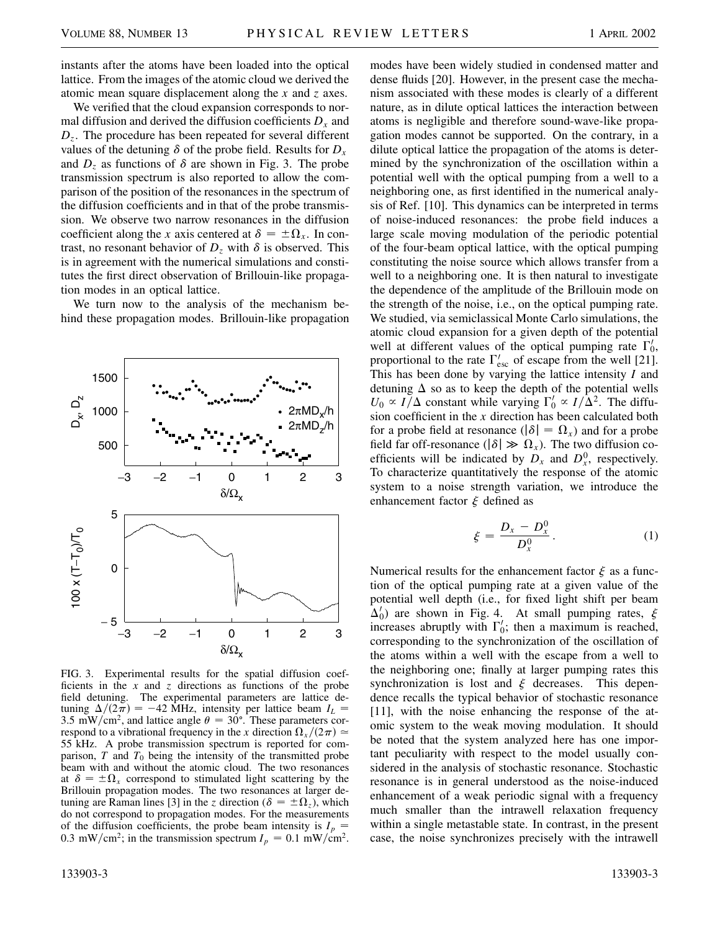instants after the atoms have been loaded into the optical lattice. From the images of the atomic cloud we derived the atomic mean square displacement along the *x* and *z* axes.

We verified that the cloud expansion corresponds to normal diffusion and derived the diffusion coefficients  $D_x$  and *Dz*. The procedure has been repeated for several different values of the detuning  $\delta$  of the probe field. Results for  $D_x$ and  $D_z$  as functions of  $\delta$  are shown in Fig. 3. The probe transmission spectrum is also reported to allow the comparison of the position of the resonances in the spectrum of the diffusion coefficients and in that of the probe transmission. We observe two narrow resonances in the diffusion coefficient along the *x* axis centered at  $\delta = \pm \Omega_x$ . In contrast, no resonant behavior of  $D_z$  with  $\delta$  is observed. This is in agreement with the numerical simulations and constitutes the first direct observation of Brillouin-like propagation modes in an optical lattice.

We turn now to the analysis of the mechanism behind these propagation modes. Brillouin-like propagation



FIG. 3. Experimental results for the spatial diffusion coefficients in the *x* and *z* directions as functions of the probe field detuning. The experimental parameters are lattice detuning  $\Delta/(2\pi) = -42$  MHz, intensity per lattice beam  $I_L =$ 3.5 mW/cm<sup>2</sup>, and lattice angle  $\theta = 30^{\circ}$ . These parameters correspond to a vibrational frequency in the *x* direction  $\Omega_x/(2\pi) \simeq$ 55 kHz. A probe transmission spectrum is reported for comparison, *T* and *T*<sup>0</sup> being the intensity of the transmitted probe beam with and without the atomic cloud. The two resonances at  $\delta = \pm \Omega_x$  correspond to stimulated light scattering by the Brillouin propagation modes. The two resonances at larger detuning are Raman lines [3] in the *z* direction ( $\delta = \pm \Omega_z$ ), which do not correspond to propagation modes. For the measurements of the diffusion coefficients, the probe beam intensity is  $I_p =$ 0.3 mW/cm<sup>2</sup>; in the transmission spectrum  $I_p = 0.1$  mW/cm<sup>2</sup>.

modes have been widely studied in condensed matter and dense fluids [20]. However, in the present case the mechanism associated with these modes is clearly of a different nature, as in dilute optical lattices the interaction between atoms is negligible and therefore sound-wave-like propagation modes cannot be supported. On the contrary, in a dilute optical lattice the propagation of the atoms is determined by the synchronization of the oscillation within a potential well with the optical pumping from a well to a neighboring one, as first identified in the numerical analysis of Ref. [10]. This dynamics can be interpreted in terms of noise-induced resonances: the probe field induces a large scale moving modulation of the periodic potential of the four-beam optical lattice, with the optical pumping constituting the noise source which allows transfer from a well to a neighboring one. It is then natural to investigate the dependence of the amplitude of the Brillouin mode on the strength of the noise, i.e., on the optical pumping rate. We studied, via semiclassical Monte Carlo simulations, the atomic cloud expansion for a given depth of the potential well at different values of the optical pumping rate  $\Gamma'_0$ , proportional to the rate  $\Gamma'_{\text{esc}}$  of escape from the well [21]. This has been done by varying the lattice intensity *I* and detuning  $\Delta$  so as to keep the depth of the potential wells  $U_0 \propto I/\Delta$  constant while varying  $\Gamma'_0 \propto I/\Delta^2$ . The diffusion coefficient in the *x* direction has been calculated both for a probe field at resonance  $(|\delta| = \Omega_x)$  and for a probe field far off-resonance ( $|\delta| \gg \Omega_x$ ). The two diffusion coefficients will be indicated by  $D_x$  and  $D_x^0$ , respectively. To characterize quantitatively the response of the atomic system to a noise strength variation, we introduce the enhancement factor  $\xi$  defined as

$$
\xi = \frac{D_x - D_x^0}{D_x^0}.\tag{1}
$$

Numerical results for the enhancement factor  $\xi$  as a function of the optical pumping rate at a given value of the potential well depth (i.e., for fixed light shift per beam  $\Delta_0'$ ) are shown in Fig. 4. At small pumping rates,  $\xi$ increases abruptly with  $\Gamma'_0$ ; then a maximum is reached, corresponding to the synchronization of the oscillation of the atoms within a well with the escape from a well to the neighboring one; finally at larger pumping rates this synchronization is lost and  $\xi$  decreases. This dependence recalls the typical behavior of stochastic resonance [11], with the noise enhancing the response of the atomic system to the weak moving modulation. It should be noted that the system analyzed here has one important peculiarity with respect to the model usually considered in the analysis of stochastic resonance. Stochastic resonance is in general understood as the noise-induced enhancement of a weak periodic signal with a frequency much smaller than the intrawell relaxation frequency within a single metastable state. In contrast, in the present case, the noise synchronizes precisely with the intrawell